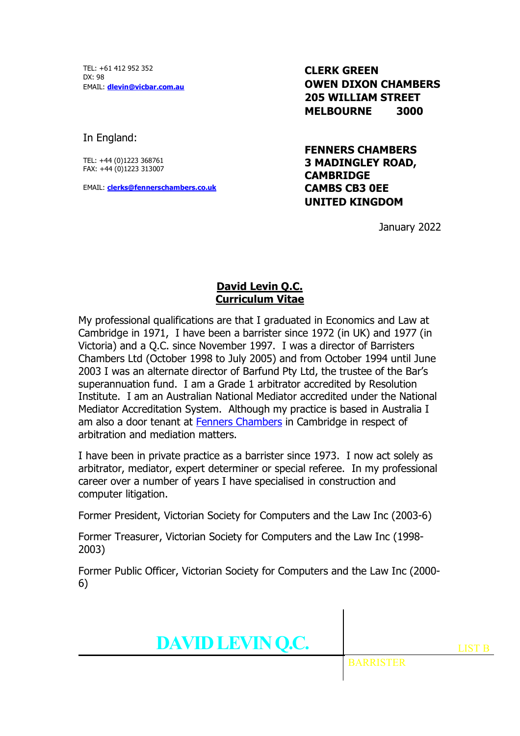TEL: +61 412 952 352  $DY \cdot QR$ EMAIL: **dlevin@vicbar.com.au**

**CLERK GREEN OWEN DIXON CHAMBERS 205 WILLIAM STREET MELBOURNE 3000**

In England:

TEL: +44 (0)1223 368761 FAX: +44 (0)1223 313007

EMAIL: **clerks@fennerschambers.co.uk**

**FENNERS CHAMBERS 3 MADINGLEY ROAD, CAMBRIDGE CAMBS CB3 0EE UNITED KINGDOM**

January 2022

## **David Levin Q.C. Curriculum Vitae**

My professional qualifications are that I graduated in Economics and Law at Cambridge in 1971, I have been a barrister since 1972 (in UK) and 1977 (in Victoria) and a Q.C. since November 1997. I was a director of Barristers Chambers Ltd (October 1998 to July 2005) and from October 1994 until June 2003 I was an alternate director of Barfund Pty Ltd, the trustee of the Bar's superannuation fund. I am a Grade 1 arbitrator accredited by Resolution Institute. I am an Australian National Mediator accredited under the National Mediator Accreditation System. Although my practice is based in Australia I am also a door tenant at Fenners Chambers in Cambridge in respect of arbitration and mediation matters.

I have been in private practice as a barrister since 1973. I now act solely as arbitrator, mediator, expert determiner or special referee. In my professional career over a number of years I have specialised in construction and computer litigation.

Former President, Victorian Society for Computers and the Law Inc (2003-6)

Former Treasurer, Victorian Society for Computers and the Law Inc (1998- 2003)

Former Public Officer, Victorian Society for Computers and the Law Inc (2000- 6)



BARRISTER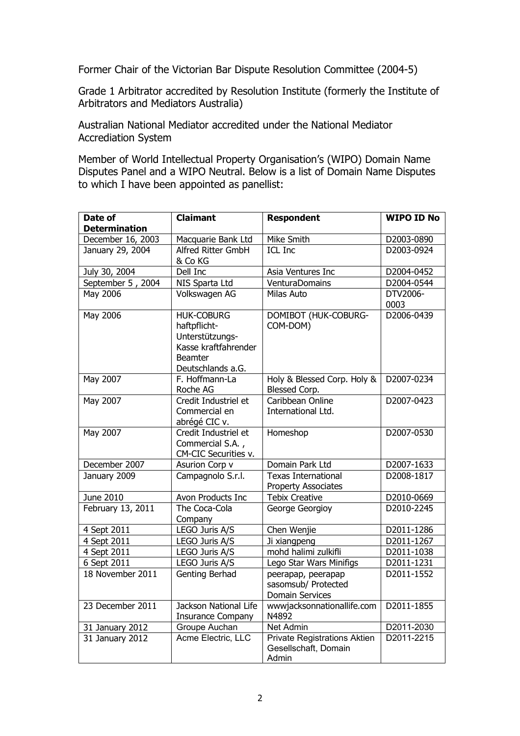Former Chair of the Victorian Bar Dispute Resolution Committee (2004-5)

Grade 1 Arbitrator accredited by Resolution Institute (formerly the Institute of Arbitrators and Mediators Australia)

Australian National Mediator accredited under the National Mediator Accrediation System

Member of World Intellectual Property Organisation's (WIPO) Domain Name Disputes Panel and a WIPO Neutral. Below is a list of Domain Name Disputes to which I have been appointed as panellist:

| Date of<br><b>Determination</b> | <b>Claimant</b>                                                                                                     | <b>Respondent</b>                                                    | <b>WIPO ID No</b> |
|---------------------------------|---------------------------------------------------------------------------------------------------------------------|----------------------------------------------------------------------|-------------------|
| December 16, 2003               | Macquarie Bank Ltd                                                                                                  | Mike Smith                                                           | D2003-0890        |
| January 29, 2004                | Alfred Ritter GmbH<br>& Co KG                                                                                       | <b>ICL Inc</b>                                                       | D2003-0924        |
| July 30, 2004                   | Dell Inc                                                                                                            | Asia Ventures Inc                                                    | D2004-0452        |
| September 5, 2004               | NIS Sparta Ltd                                                                                                      | VenturaDomains                                                       | D2004-0544        |
| May 2006                        | Volkswagen AG                                                                                                       | Milas Auto                                                           | DTV2006-<br>0003  |
| May 2006                        | <b>HUK-COBURG</b><br>haftpflicht-<br>Unterstützungs-<br>Kasse kraftfahrender<br><b>Beamter</b><br>Deutschlands a.G. | DOMIBOT (HUK-COBURG-<br>COM-DOM)                                     | D2006-0439        |
| <b>May 2007</b>                 | F. Hoffmann-La<br>Roche AG                                                                                          | Holy & Blessed Corp. Holy &<br>Blessed Corp.                         | D2007-0234        |
| May 2007                        | Credit Industriel et<br>Commercial en<br>abrégé CIC v.                                                              | Caribbean Online<br>International Ltd.                               | D2007-0423        |
| May 2007                        | Credit Industriel et<br>Commercial S.A.,<br>CM-CIC Securities v.                                                    | Homeshop                                                             | D2007-0530        |
| December 2007                   | Asurion Corp v                                                                                                      | Domain Park Ltd                                                      | D2007-1633        |
| January 2009                    | Campagnolo S.r.l.                                                                                                   | <b>Texas International</b><br>Property Associates                    | D2008-1817        |
| June 2010                       | Avon Products Inc                                                                                                   | <b>Tebix Creative</b>                                                | D2010-0669        |
| February 13, 2011               | The Coca-Cola<br>Company                                                                                            | George Georgioy                                                      | D2010-2245        |
| 4 Sept 2011                     | LEGO Juris A/S                                                                                                      | Chen Wenjie                                                          | D2011-1286        |
| 4 Sept 2011                     | LEGO Juris A/S                                                                                                      | Ji xiangpeng                                                         | D2011-1267        |
| 4 Sept 2011                     | LEGO Juris A/S                                                                                                      | mohd halimi zulkifli                                                 | D2011-1038        |
| 6 Sept 2011                     | LEGO Juris A/S                                                                                                      | Lego Star Wars Minifigs                                              | D2011-1231        |
| 18 November 2011                | Genting Berhad                                                                                                      | peerapap, peerapap<br>sasomsub/ Protected<br><b>Domain Services</b>  | D2011-1552        |
| 23 December 2011                | Jackson National Life<br><b>Insurance Company</b>                                                                   | wwwjacksonnationallife.com<br>N4892                                  | D2011-1855        |
| 31 January 2012                 | <b>Groupe Auchan</b>                                                                                                | <b>Net Admin</b>                                                     | D2011-2030        |
| 31 January 2012                 | Acme Electric, LLC                                                                                                  | <b>Private Registrations Aktien</b><br>Gesellschaft, Domain<br>Admin | D2011-2215        |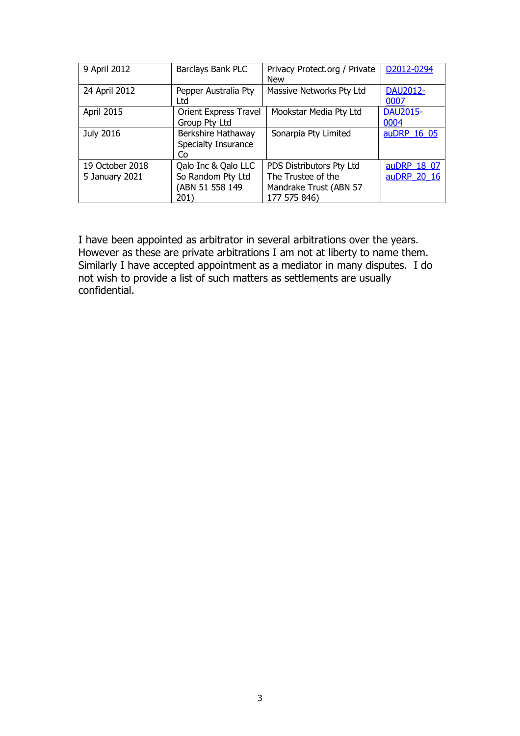| 9 April 2012    | Barclays Bank PLC                               | Privacy Protect.org / Private<br><b>New</b>                  | D2012-0294              |
|-----------------|-------------------------------------------------|--------------------------------------------------------------|-------------------------|
| 24 April 2012   | Pepper Australia Pty<br>Ltd                     | Massive Networks Pty Ltd                                     | DAU2012-<br>0007        |
| April 2015      | <b>Orient Express Travel</b><br>Group Pty Ltd   | Mookstar Media Pty Ltd                                       | <b>DAU2015-</b><br>0004 |
| July 2016       | Berkshire Hathaway<br>Specialty Insurance<br>Co | Sonarpia Pty Limited                                         | auDRP 16 05             |
| 19 October 2018 | Qalo Inc & Qalo LLC                             | PDS Distributors Pty Ltd                                     | auDRP 18 07             |
| 5 January 2021  | So Random Pty Ltd<br>(ABN 51 558 149<br>201)    | The Trustee of the<br>Mandrake Trust (ABN 57<br>177 575 846) | auDRP 20 16             |

I have been appointed as arbitrator in several arbitrations over the years. However as these are private arbitrations I am not at liberty to name them. Similarly I have accepted appointment as a mediator in many disputes. I do not wish to provide a list of such matters as settlements are usually confidential.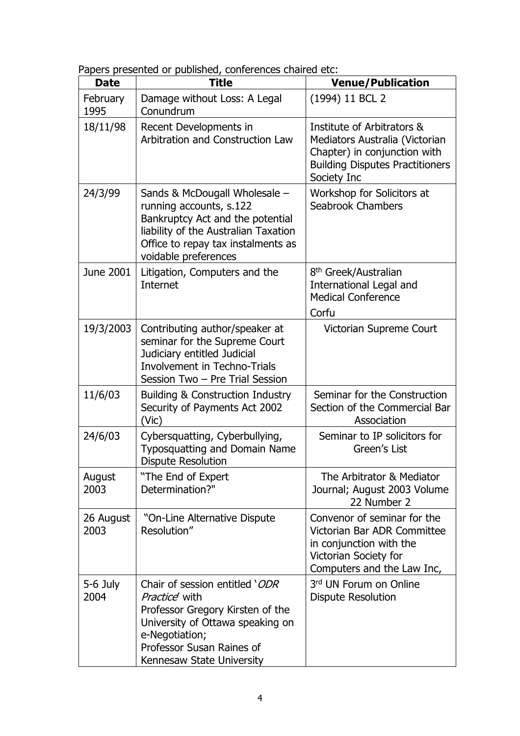Papers presented or published, conferences chaired etc:

| <b>Date</b>       | $\frac{1}{2}$ or published, connectively change<br><b>Title</b>                                                                                                                                            | <b>Venue/Publication</b>                                                                                                                              |
|-------------------|------------------------------------------------------------------------------------------------------------------------------------------------------------------------------------------------------------|-------------------------------------------------------------------------------------------------------------------------------------------------------|
| February<br>1995  | Damage without Loss: A Legal<br>Conundrum                                                                                                                                                                  | (1994) 11 BCL 2                                                                                                                                       |
| 18/11/98          | Recent Developments in<br>Arbitration and Construction Law                                                                                                                                                 | Institute of Arbitrators &<br>Mediators Australia (Victorian<br>Chapter) in conjunction with<br><b>Building Disputes Practitioners</b><br>Society Inc |
| 24/3/99           | Sands & McDougall Wholesale -<br>running accounts, s.122<br>Bankruptcy Act and the potential<br>liability of the Australian Taxation<br>Office to repay tax instalments as<br>voidable preferences         | Workshop for Solicitors at<br>Seabrook Chambers                                                                                                       |
| June 2001         | Litigation, Computers and the<br>Internet                                                                                                                                                                  | 8 <sup>th</sup> Greek/Australian<br><b>International Legal and</b><br><b>Medical Conference</b><br>Corfu                                              |
| 19/3/2003         | Contributing author/speaker at<br>seminar for the Supreme Court<br>Judiciary entitled Judicial<br><b>Involvement in Techno-Trials</b><br>Session Two - Pre Trial Session                                   | Victorian Supreme Court                                                                                                                               |
| 11/6/03           | <b>Building &amp; Construction Industry</b><br>Security of Payments Act 2002<br>(Vic)                                                                                                                      | Seminar for the Construction<br>Section of the Commercial Bar<br>Association                                                                          |
| 24/6/03           | Cybersquatting, Cyberbullying,<br>Typosquatting and Domain Name<br><b>Dispute Resolution</b>                                                                                                               | Seminar to IP solicitors for<br>Green's List                                                                                                          |
| August<br>2003    | "The End of Expert<br>Determination?"                                                                                                                                                                      | The Arbitrator & Mediator<br>Journal; August 2003 Volume<br>22 Number 2                                                                               |
| 26 August<br>2003 | "On-Line Alternative Dispute<br>Resolution"                                                                                                                                                                | Convenor of seminar for the<br>Victorian Bar ADR Committee<br>in conjunction with the<br>Victorian Society for<br>Computers and the Law Inc,          |
| 5-6 July<br>2004  | Chair of session entitled 'ODR<br><i>Practice</i> with<br>Professor Gregory Kirsten of the<br>University of Ottawa speaking on<br>e-Negotiation;<br>Professor Susan Raines of<br>Kennesaw State University | 3rd UN Forum on Online<br><b>Dispute Resolution</b>                                                                                                   |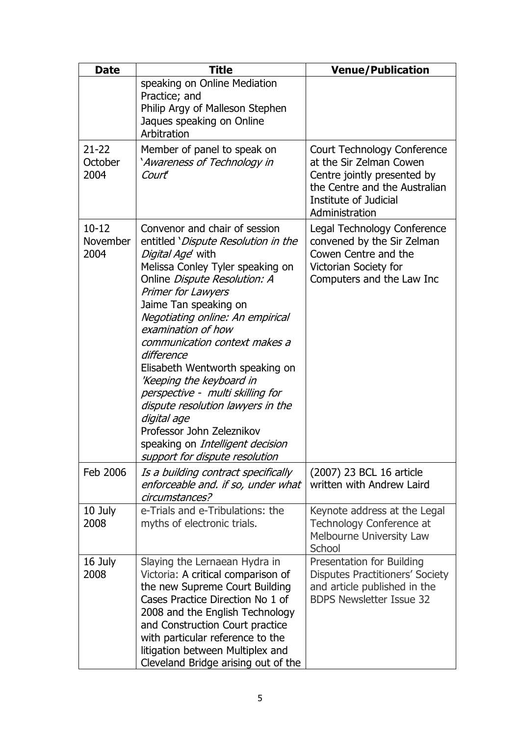| <b>Date</b>                   | <b>Title</b>                                                                                                                                                                                                                                                                                                                                                                                                                                                                                                                                                                          | <b>Venue/Publication</b>                                                                                                                                          |
|-------------------------------|---------------------------------------------------------------------------------------------------------------------------------------------------------------------------------------------------------------------------------------------------------------------------------------------------------------------------------------------------------------------------------------------------------------------------------------------------------------------------------------------------------------------------------------------------------------------------------------|-------------------------------------------------------------------------------------------------------------------------------------------------------------------|
|                               | speaking on Online Mediation<br>Practice; and<br>Philip Argy of Malleson Stephen<br>Jaques speaking on Online<br>Arbitration                                                                                                                                                                                                                                                                                                                                                                                                                                                          |                                                                                                                                                                   |
| $21 - 22$<br>October<br>2004  | Member of panel to speak on<br>'Awareness of Technology in<br>Court                                                                                                                                                                                                                                                                                                                                                                                                                                                                                                                   | Court Technology Conference<br>at the Sir Zelman Cowen<br>Centre jointly presented by<br>the Centre and the Australian<br>Institute of Judicial<br>Administration |
| $10 - 12$<br>November<br>2004 | Convenor and chair of session<br>entitled 'Dispute Resolution in the<br>Digital Age with<br>Melissa Conley Tyler speaking on<br>Online Dispute Resolution: A<br><b>Primer for Lawyers</b><br>Jaime Tan speaking on<br>Negotiating online: An empirical<br>examination of how<br>communication context makes a<br>difference<br>Elisabeth Wentworth speaking on<br>'Keeping the keyboard in<br>perspective - multi skilling for<br>dispute resolution lawyers in the<br>digital age<br>Professor John Zeleznikov<br>speaking on Intelligent decision<br>support for dispute resolution | Legal Technology Conference<br>convened by the Sir Zelman<br>Cowen Centre and the<br>Victorian Society for<br>Computers and the Law Inc                           |
| Feb 2006                      | Is a building contract specifically<br>enforceable and. if so, under what<br>circumstances?                                                                                                                                                                                                                                                                                                                                                                                                                                                                                           | (2007) 23 BCL 16 article<br>written with Andrew Laird                                                                                                             |
| 10 July<br>2008               | e-Trials and e-Tribulations: the<br>myths of electronic trials.                                                                                                                                                                                                                                                                                                                                                                                                                                                                                                                       | Keynote address at the Legal<br>Technology Conference at<br>Melbourne University Law<br>School                                                                    |
| 16 July<br>2008               | Slaying the Lernaean Hydra in<br>Victoria: A critical comparison of<br>the new Supreme Court Building<br>Cases Practice Direction No 1 of<br>2008 and the English Technology<br>and Construction Court practice<br>with particular reference to the<br>litigation between Multiplex and<br>Cleveland Bridge arising out of the                                                                                                                                                                                                                                                        | <b>Presentation for Building</b><br><b>Disputes Practitioners' Society</b><br>and article published in the<br><b>BDPS Newsletter Issue 32</b>                     |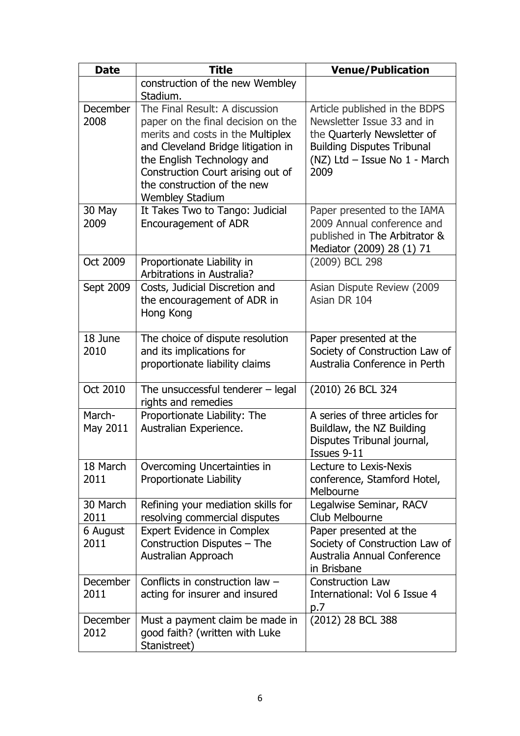| <b>Date</b>             | <b>Title</b>                                                                                                                                                                                                                                                                | <b>Venue/Publication</b>                                                                                                                                                 |
|-------------------------|-----------------------------------------------------------------------------------------------------------------------------------------------------------------------------------------------------------------------------------------------------------------------------|--------------------------------------------------------------------------------------------------------------------------------------------------------------------------|
|                         | construction of the new Wembley<br>Stadium.                                                                                                                                                                                                                                 |                                                                                                                                                                          |
| December<br>2008        | The Final Result: A discussion<br>paper on the final decision on the<br>merits and costs in the Multiplex<br>and Cleveland Bridge litigation in<br>the English Technology and<br>Construction Court arising out of<br>the construction of the new<br><b>Wembley Stadium</b> | Article published in the BDPS<br>Newsletter Issue 33 and in<br>the Quarterly Newsletter of<br><b>Building Disputes Tribunal</b><br>(NZ) Ltd - Issue No 1 - March<br>2009 |
| 30 May<br>2009          | It Takes Two to Tango: Judicial<br><b>Encouragement of ADR</b>                                                                                                                                                                                                              | Paper presented to the IAMA<br>2009 Annual conference and<br>published in The Arbitrator &<br>Mediator (2009) 28 (1) 71                                                  |
| Oct 2009                | Proportionate Liability in<br>Arbitrations in Australia?                                                                                                                                                                                                                    | (2009) BCL 298                                                                                                                                                           |
| Sept 2009               | Costs, Judicial Discretion and<br>the encouragement of ADR in<br>Hong Kong                                                                                                                                                                                                  | Asian Dispute Review (2009<br>Asian DR 104                                                                                                                               |
| 18 June<br>2010         | The choice of dispute resolution<br>and its implications for<br>proportionate liability claims                                                                                                                                                                              | Paper presented at the<br>Society of Construction Law of<br>Australia Conference in Perth                                                                                |
| Oct 2010                | The unsuccessful tenderer $-$ legal<br>rights and remedies                                                                                                                                                                                                                  | (2010) 26 BCL 324                                                                                                                                                        |
| March-<br>May 2011      | Proportionate Liability: The<br>Australian Experience.                                                                                                                                                                                                                      | A series of three articles for<br>Buildlaw, the NZ Building<br>Disputes Tribunal journal,<br>Issues 9-11                                                                 |
| 18 March<br>2011        | Overcoming Uncertainties in<br>Proportionate Liability                                                                                                                                                                                                                      | Lecture to Lexis-Nexis<br>conference, Stamford Hotel,<br>Melbourne                                                                                                       |
| 30 March<br>2011        | Refining your mediation skills for<br>resolving commercial disputes                                                                                                                                                                                                         | Legalwise Seminar, RACV<br>Club Melbourne                                                                                                                                |
| 6 August<br>2011        | <b>Expert Evidence in Complex</b><br>Construction Disputes - The<br>Australian Approach                                                                                                                                                                                     | Paper presented at the<br>Society of Construction Law of<br>Australia Annual Conference<br>in Brisbane                                                                   |
| <b>December</b><br>2011 | Conflicts in construction law $-$<br>acting for insurer and insured                                                                                                                                                                                                         | <b>Construction Law</b><br>International: Vol 6 Issue 4<br>p.7                                                                                                           |
| December<br>2012        | Must a payment claim be made in<br>good faith? (written with Luke<br>Stanistreet)                                                                                                                                                                                           | (2012) 28 BCL 388                                                                                                                                                        |